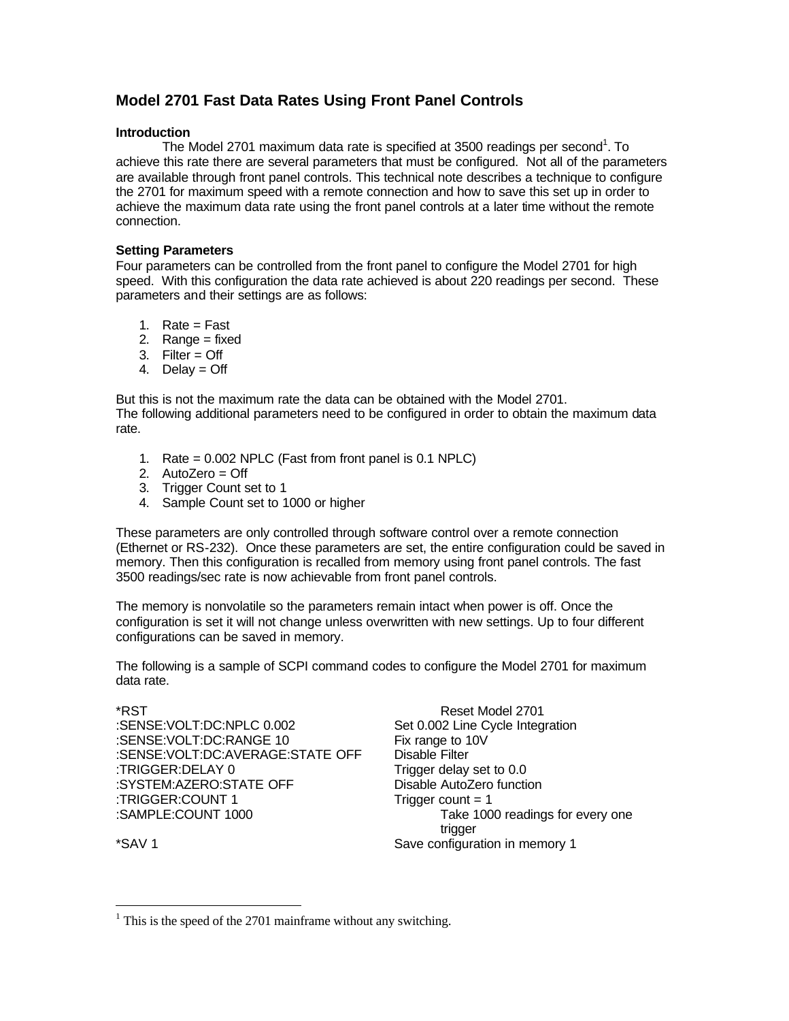# **Model 2701 Fast Data Rates Using Front Panel Controls**

# **Introduction**

The Model 2701 maximum data rate is specified at 3500 readings per second<sup>1</sup>. To achieve this rate there are several parameters that must be configured. Not all of the parameters are available through front panel controls. This technical note describes a technique to configure the 2701 for maximum speed with a remote connection and how to save this set up in order to achieve the maximum data rate using the front panel controls at a later time without the remote connection.

### **Setting Parameters**

Four parameters can be controlled from the front panel to configure the Model 2701 for high speed. With this configuration the data rate achieved is about 220 readings per second. These parameters and their settings are as follows:

- 1. Rate =  $Fast$
- 2. Range = fixed
- 3. Filter = Off
- 4. Delay  $=$  Off

But this is not the maximum rate the data can be obtained with the Model 2701. The following additional parameters need to be configured in order to obtain the maximum data rate.

- 1. Rate = 0.002 NPLC (Fast from front panel is 0.1 NPLC)
- 2. AutoZero = Off
- 3. Trigger Count set to 1
- 4. Sample Count set to 1000 or higher

These parameters are only controlled through software control over a remote connection (Ethernet or RS-232). Once these parameters are set, the entire configuration could be saved in memory. Then this configuration is recalled from memory using front panel controls. The fast 3500 readings/sec rate is now achievable from front panel controls.

The memory is nonvolatile so the parameters remain intact when power is off. Once the configuration is set it will not change unless overwritten with new settings. Up to four different configurations can be saved in memory.

The following is a sample of SCPI command codes to configure the Model 2701 for maximum data rate.

| Reset Model 2701                 |
|----------------------------------|
| Set 0.002 Line Cycle Integration |
| Fix range to 10V                 |
| <b>Disable Filter</b>            |
| Trigger delay set to 0.0         |
| Disable AutoZero function        |
| Trigger count $= 1$              |
| Take 1000 readings for every one |
| trigger                          |
| Save configuration in memory 1   |
|                                  |

<u>.</u>

 $1$ <sup>1</sup> This is the speed of the 2701 mainframe without any switching.